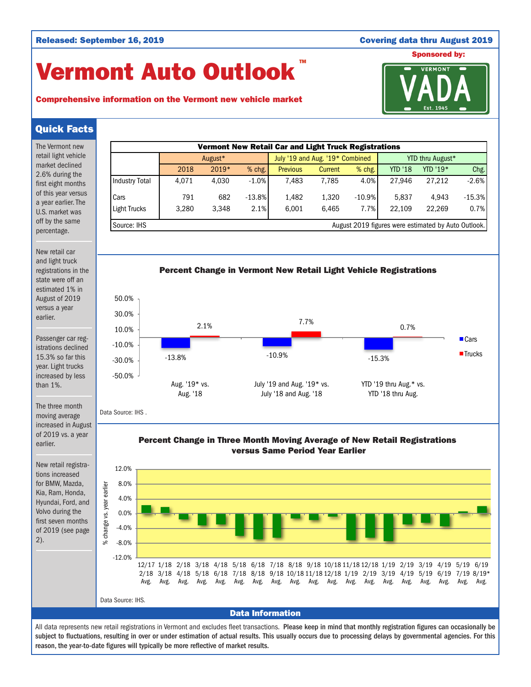# Vermont Auto Outlook TM





# Quick Facts

| The Vermont new                                                                                                                                                | Vermont New Retail Car and Light Truck Registrations                     |         |          |       |                                                     |                                 |                                                                                                    |  |          |                                             |                  |                |                       |        |                     |          |
|----------------------------------------------------------------------------------------------------------------------------------------------------------------|--------------------------------------------------------------------------|---------|----------|-------|-----------------------------------------------------|---------------------------------|----------------------------------------------------------------------------------------------------|--|----------|---------------------------------------------|------------------|----------------|-----------------------|--------|---------------------|----------|
| retail light vehicle                                                                                                                                           |                                                                          | August* |          |       |                                                     | July '19 and Aug. '19* Combined |                                                                                                    |  |          |                                             | YTD thru August* |                |                       |        |                     |          |
| market declined<br>2.6% during the                                                                                                                             |                                                                          |         | 2018     | 2019* |                                                     | % chg.                          | <b>Previous</b>                                                                                    |  | Current  | % chg.                                      |                  | <b>YTD '18</b> | YTD '19*              |        |                     | Chg.     |
| first eight months                                                                                                                                             | <b>Industry Total</b>                                                    |         | 4,071    | 4,030 |                                                     | $-1.0%$                         | 7,483                                                                                              |  | 7,785    | 4.0%                                        |                  | 27,946         |                       | 27,212 |                     | $-2.6%$  |
| of this year versus<br>a year earlier. The                                                                                                                     | Cars                                                                     |         | 791      |       | 682                                                 | $-13.8%$                        | 1,482                                                                                              |  | 1,320    | $-10.9%$                                    |                  | 5,837          |                       | 4,943  |                     | $-15.3%$ |
| U.S. market was                                                                                                                                                | <b>Light Trucks</b>                                                      |         | 3,280    | 3,348 |                                                     | 2.1%                            | 6,001                                                                                              |  | 6,465    | 7.7%                                        |                  | 22,109         |                       | 22,269 |                     | 0.7%     |
| off by the same<br>percentage.                                                                                                                                 | Source: IHS<br>August 2019 figures were estimated by Auto Outlook.       |         |          |       |                                                     |                                 |                                                                                                    |  |          |                                             |                  |                |                       |        |                     |          |
| New retail car                                                                                                                                                 |                                                                          |         |          |       |                                                     |                                 |                                                                                                    |  |          |                                             |                  |                |                       |        |                     |          |
| and light truck<br>registrations in the<br>state were off an                                                                                                   | Percent Change in Vermont New Retail Light Vehicle Registrations         |         |          |       |                                                     |                                 |                                                                                                    |  |          |                                             |                  |                |                       |        |                     |          |
| estimated 1% in<br>August of 2019                                                                                                                              | 50.0%                                                                    |         |          |       |                                                     |                                 |                                                                                                    |  |          |                                             |                  |                |                       |        |                     |          |
| versus a year<br>earlier.                                                                                                                                      | 30.0%                                                                    |         |          |       |                                                     |                                 |                                                                                                    |  |          |                                             |                  |                |                       |        |                     |          |
|                                                                                                                                                                | 10.0%                                                                    |         | 2.1%     |       |                                                     | 7.7%                            |                                                                                                    |  | 0.7%     |                                             |                  |                |                       |        |                     |          |
| Passenger car reg-<br>istrations declined<br>15.3% so far this<br>year. Light trucks<br>increased by less<br>than $1\%$ .<br>The three month<br>moving average | $-10.0%$                                                                 |         |          |       |                                                     |                                 |                                                                                                    |  |          |                                             |                  |                |                       |        | $\blacksquare$ Cars |          |
|                                                                                                                                                                | $-30.0%$                                                                 |         | $-13.8%$ |       |                                                     | $-10.9%$                        |                                                                                                    |  | $-15.3%$ |                                             |                  |                | $\blacksquare$ Trucks |        |                     |          |
|                                                                                                                                                                | $-50.0%$<br>Aug. '19* vs.<br>Aug. '18                                    |         |          |       | July '19 and Aug. '19* vs.<br>July '18 and Aug. '18 |                                 |                                                                                                    |  |          | YTD '19 thru Aug.* vs.<br>YTD '18 thru Aug. |                  |                |                       |        |                     |          |
|                                                                                                                                                                | Data Source: IHS.                                                        |         |          |       |                                                     |                                 |                                                                                                    |  |          |                                             |                  |                |                       |        |                     |          |
| increased in August<br>of 2019 vs. a year<br>earlier.                                                                                                          | Percent Change in Three Month Moving Average of New Retail Registrations |         |          |       |                                                     |                                 |                                                                                                    |  |          |                                             |                  |                |                       |        |                     |          |
|                                                                                                                                                                | versus Same Period Year Earlier                                          |         |          |       |                                                     |                                 |                                                                                                    |  |          |                                             |                  |                |                       |        |                     |          |
| New retail registra-<br>tions increased<br>for BMW, Mazda,<br>Kia, Ram, Honda,                                                                                 | 12.0%                                                                    |         |          |       |                                                     |                                 |                                                                                                    |  |          |                                             |                  |                |                       |        |                     |          |
|                                                                                                                                                                | 8.0%                                                                     |         |          |       |                                                     |                                 |                                                                                                    |  |          |                                             |                  |                |                       |        |                     |          |
| Hyundai, Ford, and                                                                                                                                             | vs. year earlier<br>4.0%                                                 |         |          |       |                                                     |                                 |                                                                                                    |  |          |                                             |                  |                |                       |        |                     |          |
| Volvo during the<br>first seven months<br>of 2019 (see page<br>$(2)$ .                                                                                         | 0.0%<br>go                                                               |         |          |       |                                                     |                                 |                                                                                                    |  |          |                                             |                  |                |                       |        |                     |          |
|                                                                                                                                                                | $-4.0%$<br>$%$ chang                                                     |         |          |       |                                                     |                                 |                                                                                                    |  |          |                                             |                  |                |                       |        |                     |          |
|                                                                                                                                                                | $-8.0%$                                                                  |         |          |       |                                                     |                                 |                                                                                                    |  |          |                                             |                  |                |                       |        |                     |          |
|                                                                                                                                                                | $-12.0%$                                                                 |         |          |       |                                                     |                                 | 12/17 1/18 2/18 3/18 4/18 5/18 6/18 7/18 8/18 9/18 10/18 11/18 12/18 1/19 2/19 3/19 4/19 5/19 6/19 |  |          |                                             |                  |                |                       |        |                     |          |
|                                                                                                                                                                |                                                                          |         |          |       |                                                     |                                 | 2/18 3/18 4/18 5/18 6/18 7/18 8/18 9/18 10/18 11/18 12/18 1/19 2/19 3/19 4/19 5/19 6/19 7/19 8/19* |  |          |                                             |                  |                |                       |        | Avg. Avg.           |          |
|                                                                                                                                                                | Data Source: IHS.                                                        |         |          |       |                                                     |                                 |                                                                                                    |  |          |                                             |                  |                |                       |        |                     |          |

Data Information

All data represents new retail registrations in Vermont and excludes fleet transactions. Please keep in mind that monthly registration figures can occasionally be subject to fluctuations, resulting in over or under estimation of actual results. This usually occurs due to processing delays by governmental agencies. For this reason, the year-to-date figures will typically be more reflective of market results.